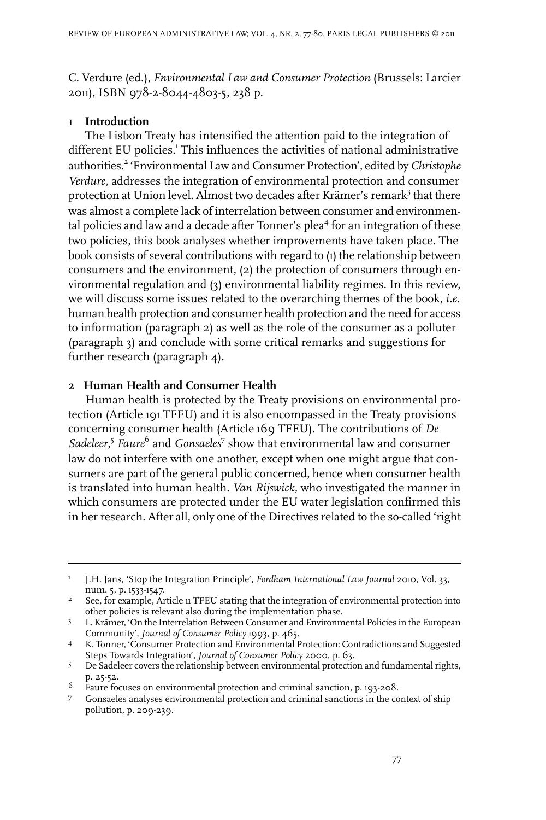C. Verdure (ed.), *Environmental Law and Consumer Protection* (Brussels: Larcier 2011), ISBN 978-2-8044-4803-5, 238 p.

## **1 Introduction**

The Lisbon Treaty has intensified the attention paid to the integration of different EU policies.<sup>1</sup> This influences the activities of national administrative authorities.<sup>2</sup> 'Environmental Law and Consumer Protection', edited by *Christophe Verdure*, addresses the integration of environmental protection and consumer protection at Union level. Almost two decades after Krämer's remark<sup>3</sup> that there was almost a complete lack of interrelation between consumer and environmental policies and law and a decade after Tonner's plea<sup>4</sup> for an integration of these two policies, this book analyses whether improvements have taken place. The book consists of several contributions with regard to (1) the relationship between consumers and the environment, (2) the protection of consumers through environmental regulation and (3) environmental liability regimes. In this review, we will discuss some issues related to the overarching themes of the book, *i.e.* human health protection and consumer health protection and the need for access to information (paragraph 2) as well as the role of the consumer as a polluter (paragraph 3) and conclude with some critical remarks and suggestions for further research (paragraph 4).

## **2 Human Health and Consumer Health**

Human health is protected by the Treaty provisions on environmental protection (Article 191 TFEU) and it is also encompassed in the Treaty provisions concerning consumer health (Article 169 TFEU). The contributions of *De* Sadeleer,<sup>5</sup> Faure<sup>6</sup> and *Gonsaeles*<sup>7</sup> show that environmental law and consumer law do not interfere with one another, except when one might argue that consumers are part of the general public concerned, hence when consumer health is translated into human health. *Van Rijswick,* who investigated the manner in which consumers are protected under the EU water legislation confirmed this in her research. After all, only one of the Directives related to the so-called 'right

J.H. Jans, 'Stop the Integration Principle', *Fordham International Law Journal* 2010, Vol. 33, num. 5, p. 1533-1547. 1

See, for example, Article 11 TFEU stating that the integration of environmental protection into other policies is relevant also during the implementation phase. 2

<sup>3</sup> L. Krämer, 'On the Interrelation Between Consumer and Environmental Policies in the European Community', *Journal of Consumer Policy* 1993, p. 465.

K. Tonner, 'Consumer Protection and Environmental Protection: Contradictions and Suggested 4 Steps Towards Integration', *Journal of Consumer Policy* 2000, p. 63.

<sup>5</sup> De Sadeleer covers the relationship between environmental protection and fundamental rights, p. 25-52.

Faure focuses on environmental protection and criminal sanction, p. 193-208. <sup>6</sup>

Gonsaeles analyses environmental protection and criminal sanctions in the context of ship 7 pollution, p. 209-239.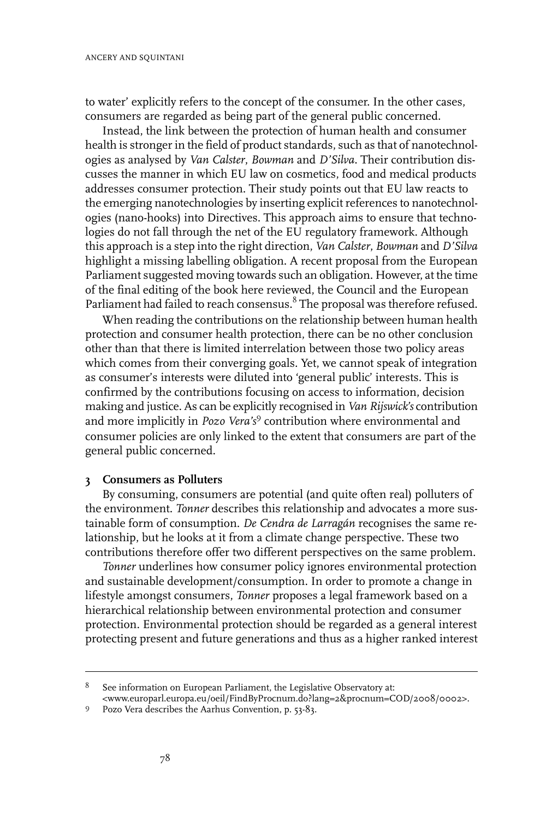to water' explicitly refers to the concept of the consumer. In the other cases, consumers are regarded as being part of the general public concerned.

Instead, the link between the protection of human health and consumer health is stronger in the field of product standards, such as that of nanotechnologies as analysed by *Van Calster*, *Bowman* and *D'Silva*. Their contribution discusses the manner in which EU law on cosmetics, food and medical products addresses consumer protection. Their study points out that EU law reacts to the emerging nanotechnologies by inserting explicit references to nanotechnologies (nano-hooks) into Directives. This approach aims to ensure that technologies do not fall through the net of the EU regulatory framework. Although this approach is a step into the right direction, *Van Calster*, *Bowman* and *D'Silva* highlight a missing labelling obligation. A recent proposal from the European Parliament suggested moving towards such an obligation. However, at the time of the final editing of the book here reviewed, the Council and the European Parliament had failed to reach consensus.<sup>8</sup> The proposal was therefore refused.

When reading the contributions on the relationship between human health protection and consumer health protection, there can be no other conclusion other than that there is limited interrelation between those two policy areas which comes from their converging goals. Yet, we cannot speak of integration as consumer's interests were diluted into 'general public' interests. This is confirmed by the contributions focusing on access to information, decision making and justice. As can be explicitly recognised in *Van Rijswick's* contribution and more implicitly in *Pozo Vera's*<sup>9</sup> contribution where environmental and consumer policies are only linked to the extent that consumers are part of the general public concerned.

## **3 Consumers as Polluters**

By consuming, consumers are potential (and quite often real) polluters of the environment. *Tonner* describes this relationship and advocates a more sustainable form of consumption. *De Cendra de Larragán* recognises the same relationship, but he looks at it from a climate change perspective. These two contributions therefore offer two different perspectives on the same problem.

*Tonner* underlines how consumer policy ignores environmental protection and sustainable development/consumption. In order to promote a change in lifestyle amongst consumers, *Tonner* proposes a legal framework based on a hierarchical relationship between environmental protection and consumer protection. Environmental protection should be regarded as a general interest protecting present and future generations and thus as a higher ranked interest

See information on European Parliament, the Legislative Observatory at: 8

<sup>&</sup>lt;www.europarl.europa.eu/oeil/FindByProcnum.do?lang=2&procnum=COD/2008/0002>.

<sup>9</sup> Pozo Vera describes the Aarhus Convention, p. 53-83.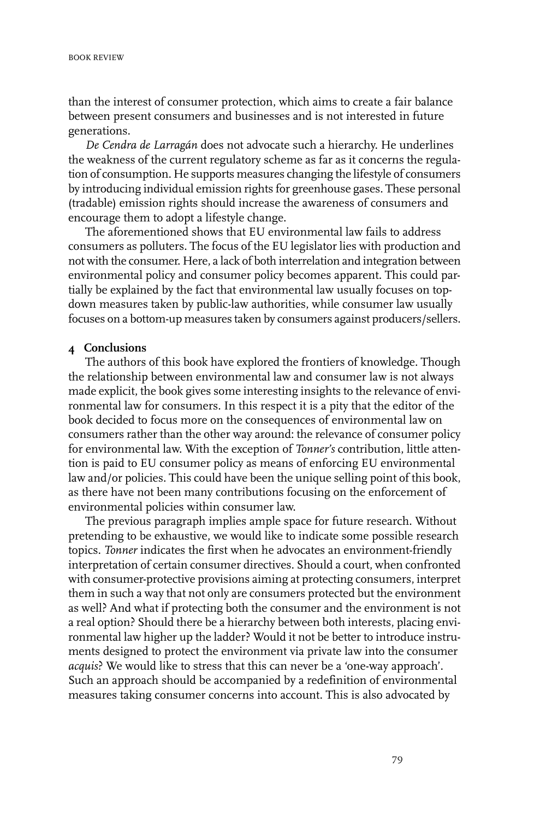than the interest of consumer protection, which aims to create a fair balance between present consumers and businesses and is not interested in future generations.

*De Cendra de Larragán* does not advocate such a hierarchy. He underlines the weakness of the current regulatory scheme as far as it concerns the regulation of consumption. He supports measures changing the lifestyle of consumers by introducing individual emission rights for greenhouse gases. These personal (tradable) emission rights should increase the awareness of consumers and encourage them to adopt a lifestyle change.

The aforementioned shows that EU environmental law fails to address consumers as polluters. The focus of the EU legislator lies with production and not with the consumer. Here, a lack of both interrelation and integration between environmental policy and consumer policy becomes apparent. This could partially be explained by the fact that environmental law usually focuses on topdown measures taken by public-law authorities, while consumer law usually focuses on a bottom-up measures taken by consumers against producers/sellers.

## **4 Conclusions**

The authors of this book have explored the frontiers of knowledge. Though the relationship between environmental law and consumer law is not always made explicit, the book gives some interesting insights to the relevance of environmental law for consumers. In this respect it is a pity that the editor of the book decided to focus more on the consequences of environmental law on consumers rather than the other way around: the relevance of consumer policy for environmental law. With the exception of *Tonner's* contribution, little attention is paid to EU consumer policy as means of enforcing EU environmental law and/or policies. This could have been the unique selling point of this book, as there have not been many contributions focusing on the enforcement of environmental policies within consumer law.

The previous paragraph implies ample space for future research. Without pretending to be exhaustive, we would like to indicate some possible research topics. *Tonner* indicates the first when he advocates an environment-friendly interpretation of certain consumer directives. Should a court, when confronted with consumer-protective provisions aiming at protecting consumers, interpret them in such a way that not only are consumers protected but the environment as well? And what if protecting both the consumer and the environment is not a real option? Should there be a hierarchy between both interests, placing environmental law higher up the ladder? Would it not be better to introduce instruments designed to protect the environment via private law into the consumer *acquis*? We would like to stress that this can never be a 'one-way approach'. Such an approach should be accompanied by a redefinition of environmental measures taking consumer concerns into account. This is also advocated by